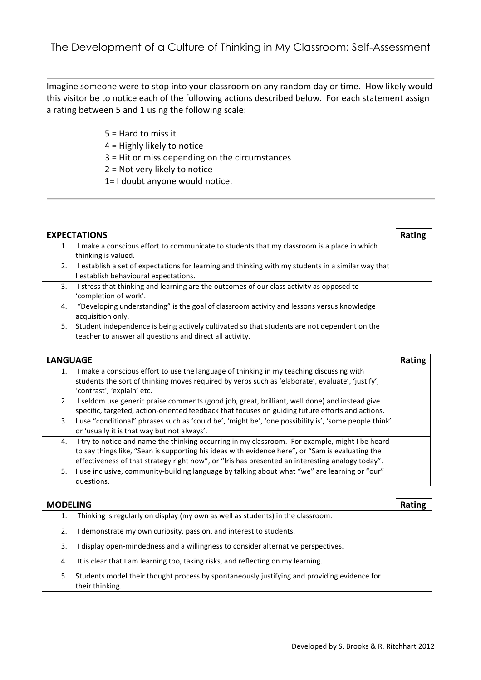Imagine someone were to stop into your classroom on any random day or time. How likely would this visitor be to notice each of the following actions described below. For each statement assign a rating between 5 and 1 using the following scale:

- $5 =$  Hard to miss it
- $4$  = Highly likely to notice
- $3$  = Hit or miss depending on the circumstances
- $2$  = Not very likely to notice
- $1=$  I doubt anyone would notice.

| <b>EXPECTATIONS</b> |                                                                                                  | Rating |
|---------------------|--------------------------------------------------------------------------------------------------|--------|
|                     | make a conscious effort to communicate to students that my classroom is a place in which         |        |
|                     | thinking is valued.                                                                              |        |
| 2.                  | establish a set of expectations for learning and thinking with my students in a similar way that |        |
|                     | establish behavioural expectations.                                                              |        |
| 3.                  | stress that thinking and learning are the outcomes of our class activity as opposed to           |        |
|                     | 'completion of work'.                                                                            |        |
| 4.                  | "Developing understanding" is the goal of classroom activity and lessons versus knowledge        |        |
|                     | acquisition only.                                                                                |        |
| 5.                  | Student independence is being actively cultivated so that students are not dependent on the      |        |
|                     | teacher to answer all questions and direct all activity.                                         |        |

| <b>LANGUAGE</b> |                                                                                                       | <b>Rating</b> |
|-----------------|-------------------------------------------------------------------------------------------------------|---------------|
| 1.              | I make a conscious effort to use the language of thinking in my teaching discussing with              |               |
|                 | students the sort of thinking moves required by verbs such as 'elaborate', evaluate', 'justify',      |               |
|                 | 'contrast', 'explain' etc.                                                                            |               |
| 2.              | I seldom use generic praise comments (good job, great, brilliant, well done) and instead give         |               |
|                 | specific, targeted, action-oriented feedback that focuses on guiding future efforts and actions.      |               |
| 3.              | I use "conditional" phrases such as 'could be', 'might be', 'one possibility is', 'some people think' |               |
|                 | or 'usually it is that way but not always'.                                                           |               |
| 4.              | I try to notice and name the thinking occurring in my classroom. For example, might I be heard        |               |
|                 | to say things like, "Sean is supporting his ideas with evidence here", or "Sam is evaluating the      |               |
|                 | effectiveness of that strategy right now", or "Iris has presented an interesting analogy today".      |               |
| 5.              | use inclusive, community-building language by talking about what "we" are learning or "our"           |               |
|                 | questions.                                                                                            |               |

| <b>MODELING</b> |                                                                                                                | Rating |
|-----------------|----------------------------------------------------------------------------------------------------------------|--------|
|                 | Thinking is regularly on display (my own as well as students) in the classroom.                                |        |
|                 | demonstrate my own curiosity, passion, and interest to students.                                               |        |
| 3.              | display open-mindedness and a willingness to consider alternative perspectives.                                |        |
| 4.              | It is clear that I am learning too, taking risks, and reflecting on my learning.                               |        |
| 5.              | Students model their thought process by spontaneously justifying and providing evidence for<br>their thinking. |        |